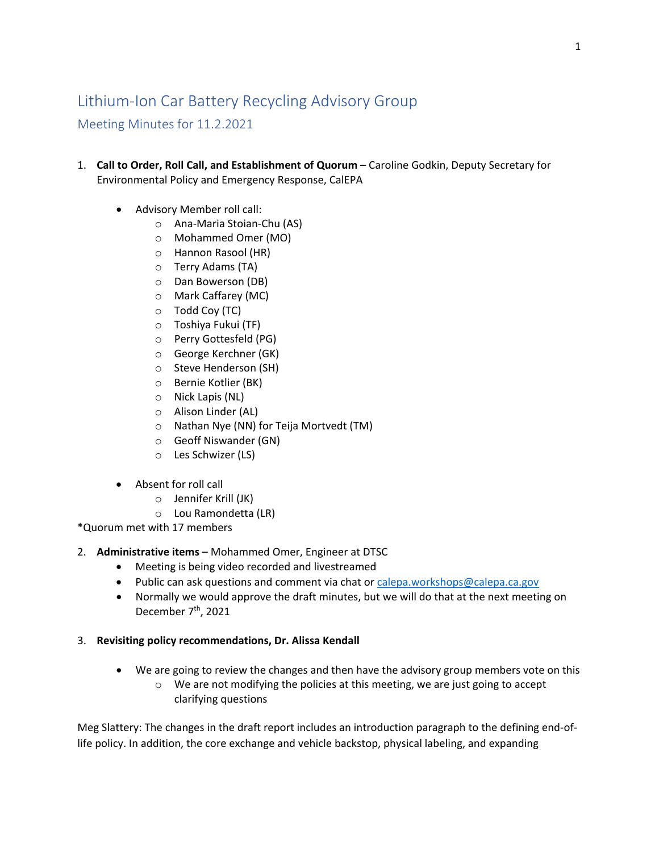## Lithium-Ion Car Battery Recycling Advisory Group

Meeting Minutes for 11.2.2021

- 1. **Call to Order, Roll Call, and Establishment of Quorum** Caroline Godkin, Deputy Secretary for Environmental Policy and Emergency Response, CalEPA
	- Advisory Member roll call:
		- o Ana-Maria Stoian-Chu (AS)
		- o Mohammed Omer (MO)
		- o Hannon Rasool (HR)
		- o Terry Adams (TA)
		- o Dan Bowerson (DB)
		- o Mark Caffarey (MC)
		- o Todd Coy (TC)
		- o Toshiya Fukui (TF)
		- o Perry Gottesfeld (PG)
		- o George Kerchner (GK)
		- o Steve Henderson (SH)
		- o Bernie Kotlier (BK)
		- o Nick Lapis (NL)
		- o Alison Linder (AL)
		- o Nathan Nye (NN) for Teija Mortvedt (TM)
		- o Geoff Niswander (GN)
		- o Les Schwizer (LS)
	- Absent for roll call
		- o Jennifer Krill (JK)
		- o Lou Ramondetta (LR)

\*Quorum met with 17 members

- 2. **Administrative items** Mohammed Omer, Engineer at DTSC
	- Meeting is being video recorded and livestreamed
	- Public can ask questions and comment via chat or [calepa.workshops@calepa.ca.gov](mailto:calepa.workshops@calepa.ca.gov)
	- Normally we would approve the draft minutes, but we will do that at the next meeting on December 7<sup>th</sup>, 2021
- 3. **Revisiting policy recommendations, Dr. Alissa Kendall**
	- We are going to review the changes and then have the advisory group members vote on this
		- $\circ$  We are not modifying the policies at this meeting, we are just going to accept clarifying questions

Meg Slattery: The changes in the draft report includes an introduction paragraph to the defining end-oflife policy. In addition, the core exchange and vehicle backstop, physical labeling, and expanding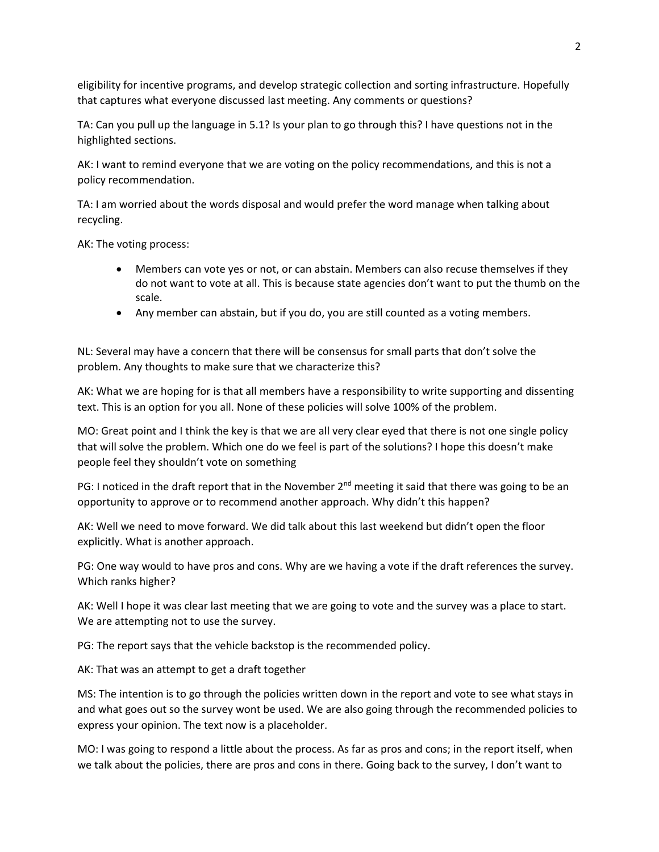eligibility for incentive programs, and develop strategic collection and sorting infrastructure. Hopefully that captures what everyone discussed last meeting. Any comments or questions?

TA: Can you pull up the language in 5.1? Is your plan to go through this? I have questions not in the highlighted sections.

AK: I want to remind everyone that we are voting on the policy recommendations, and this is not a policy recommendation.

TA: I am worried about the words disposal and would prefer the word manage when talking about recycling.

AK: The voting process:

- Members can vote yes or not, or can abstain. Members can also recuse themselves if they do not want to vote at all. This is because state agencies don't want to put the thumb on the scale.
- Any member can abstain, but if you do, you are still counted as a voting members.

NL: Several may have a concern that there will be consensus for small parts that don't solve the problem. Any thoughts to make sure that we characterize this?

AK: What we are hoping for is that all members have a responsibility to write supporting and dissenting text. This is an option for you all. None of these policies will solve 100% of the problem.

MO: Great point and I think the key is that we are all very clear eyed that there is not one single policy that will solve the problem. Which one do we feel is part of the solutions? I hope this doesn't make people feel they shouldn't vote on something

PG: I noticed in the draft report that in the November  $2^{nd}$  meeting it said that there was going to be an opportunity to approve or to recommend another approach. Why didn't this happen?

AK: Well we need to move forward. We did talk about this last weekend but didn't open the floor explicitly. What is another approach.

PG: One way would to have pros and cons. Why are we having a vote if the draft references the survey. Which ranks higher?

AK: Well I hope it was clear last meeting that we are going to vote and the survey was a place to start. We are attempting not to use the survey.

PG: The report says that the vehicle backstop is the recommended policy.

AK: That was an attempt to get a draft together

MS: The intention is to go through the policies written down in the report and vote to see what stays in and what goes out so the survey wont be used. We are also going through the recommended policies to express your opinion. The text now is a placeholder.

MO: I was going to respond a little about the process. As far as pros and cons; in the report itself, when we talk about the policies, there are pros and cons in there. Going back to the survey, I don't want to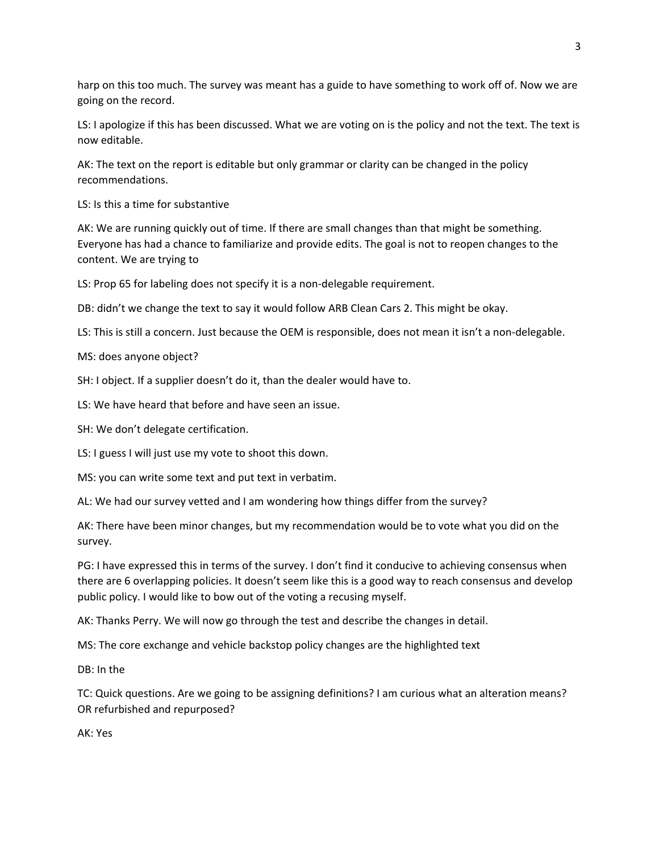harp on this too much. The survey was meant has a guide to have something to work off of. Now we are going on the record.

LS: I apologize if this has been discussed. What we are voting on is the policy and not the text. The text is now editable.

AK: The text on the report is editable but only grammar or clarity can be changed in the policy recommendations.

LS: Is this a time for substantive

AK: We are running quickly out of time. If there are small changes than that might be something. Everyone has had a chance to familiarize and provide edits. The goal is not to reopen changes to the content. We are trying to

LS: Prop 65 for labeling does not specify it is a non-delegable requirement.

DB: didn't we change the text to say it would follow ARB Clean Cars 2. This might be okay.

LS: This is still a concern. Just because the OEM is responsible, does not mean it isn't a non-delegable.

MS: does anyone object?

SH: I object. If a supplier doesn't do it, than the dealer would have to.

LS: We have heard that before and have seen an issue.

SH: We don't delegate certification.

LS: I guess I will just use my vote to shoot this down.

MS: you can write some text and put text in verbatim.

AL: We had our survey vetted and I am wondering how things differ from the survey?

AK: There have been minor changes, but my recommendation would be to vote what you did on the survey.

PG: I have expressed this in terms of the survey. I don't find it conducive to achieving consensus when there are 6 overlapping policies. It doesn't seem like this is a good way to reach consensus and develop public policy. I would like to bow out of the voting a recusing myself.

AK: Thanks Perry. We will now go through the test and describe the changes in detail.

MS: The core exchange and vehicle backstop policy changes are the highlighted text

DB: In the

TC: Quick questions. Are we going to be assigning definitions? I am curious what an alteration means? OR refurbished and repurposed?

AK: Yes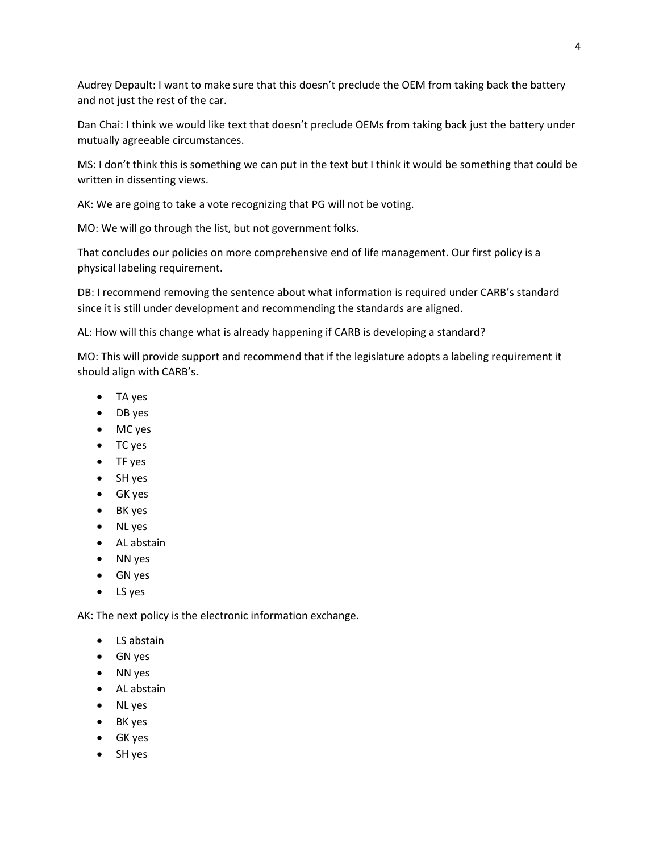Audrey Depault: I want to make sure that this doesn't preclude the OEM from taking back the battery and not just the rest of the car.

Dan Chai: I think we would like text that doesn't preclude OEMs from taking back just the battery under mutually agreeable circumstances.

MS: I don't think this is something we can put in the text but I think it would be something that could be written in dissenting views.

AK: We are going to take a vote recognizing that PG will not be voting.

MO: We will go through the list, but not government folks.

That concludes our policies on more comprehensive end of life management. Our first policy is a physical labeling requirement.

DB: I recommend removing the sentence about what information is required under CARB's standard since it is still under development and recommending the standards are aligned.

AL: How will this change what is already happening if CARB is developing a standard?

MO: This will provide support and recommend that if the legislature adopts a labeling requirement it should align with CARB's.

- TA yes
- DB yes
- MC yes
- TC yes
- TF yes
- SH yes
- GK yes
- BK yes
- NL yes
- AL abstain
- NN yes
- GN yes
- LS yes

AK: The next policy is the electronic information exchange.

- LS abstain
- GN yes
- NN yes
- AL abstain
- NL yes
- BK yes
- GK yes
- SH yes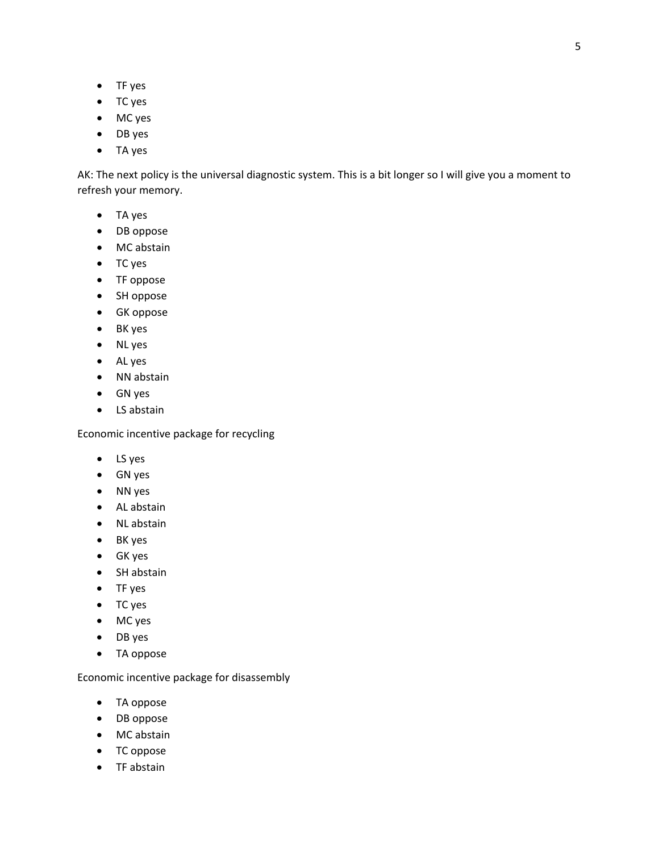- TF yes
- TC yes
- MC yes
- DB yes
- TA yes

AK: The next policy is the universal diagnostic system. This is a bit longer so I will give you a moment to refresh your memory.

- TA yes
- DB oppose
- MC abstain
- TC yes
- TF oppose
- SH oppose
- GK oppose
- BK yes
- NL yes
- AL yes
- NN abstain
- GN yes
- LS abstain

Economic incentive package for recycling

- LS yes
- GN yes
- NN yes
- AL abstain
- NL abstain
- BK yes
- GK yes
- SH abstain
- TF yes
- TC yes
- MC yes
- DB yes
- TA oppose

Economic incentive package for disassembly

- TA oppose
- DB oppose
- MC abstain
- TC oppose
- TF abstain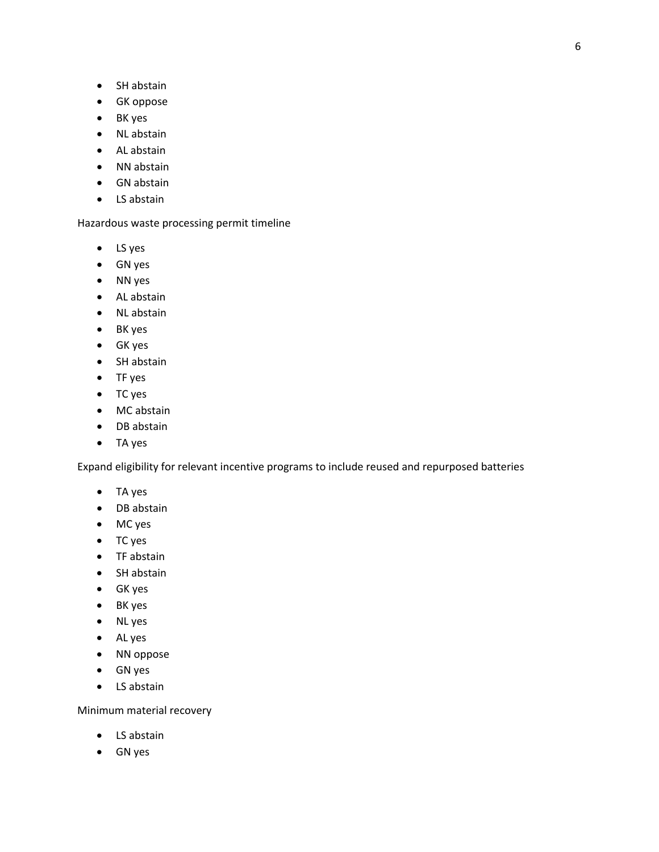- SH abstain
- GK oppose
- BK yes
- NL abstain
- AL abstain
- NN abstain
- GN abstain
- LS abstain

Hazardous waste processing permit timeline

- LS yes
- GN yes
- NN yes
- AL abstain
- NL abstain
- BK yes
- GK yes
- SH abstain
- TF yes
- TC yes
- MC abstain
- DB abstain
- TA yes

Expand eligibility for relevant incentive programs to include reused and repurposed batteries

- TA yes
- DB abstain
- MC yes
- TC yes
- TF abstain
- SH abstain
- GK yes
- BK yes
- NL yes
- AL yes
- NN oppose
- GN yes
- LS abstain

Minimum material recovery

- LS abstain
- GN yes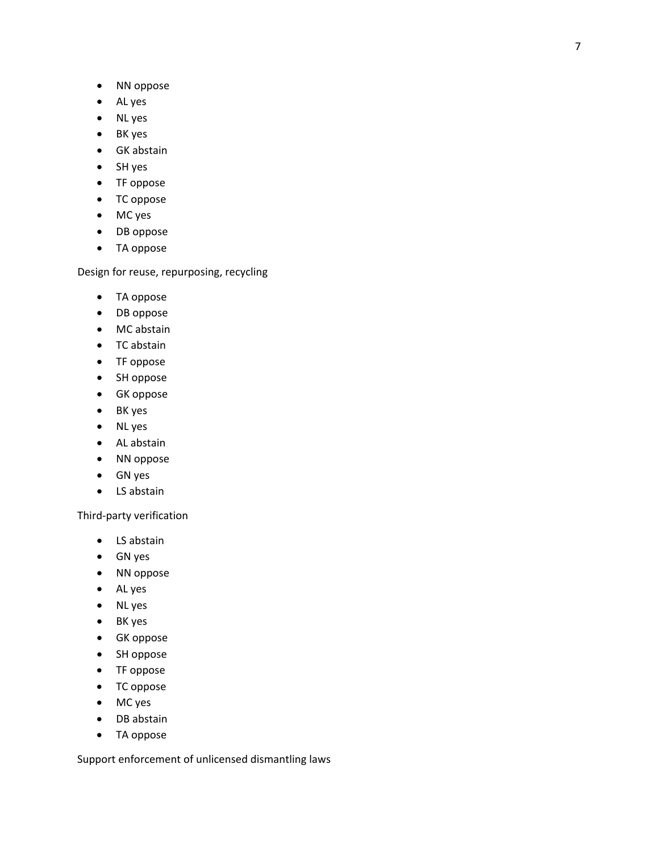- NN oppose
- AL yes
- NL yes
- BK yes
- GK abstain
- SH yes
- TF oppose
- TC oppose
- MC yes
- DB oppose
- TA oppose

Design for reuse, repurposing, recycling

- TA oppose
- DB oppose
- MC abstain
- TC abstain
- TF oppose
- SH oppose
- GK oppose
- BK yes
- NL yes
- AL abstain
- NN oppose
- GN yes
- LS abstain

Third -party verification

- LS abstain
- GN yes
- NN oppose
- AL yes
- NL yes
- BK yes
- GK oppose
- SH oppose
- TF oppose
- TC oppose
- MC yes
- DB abstain
- TA oppose

Support enforcement of unlicensed dismantling laws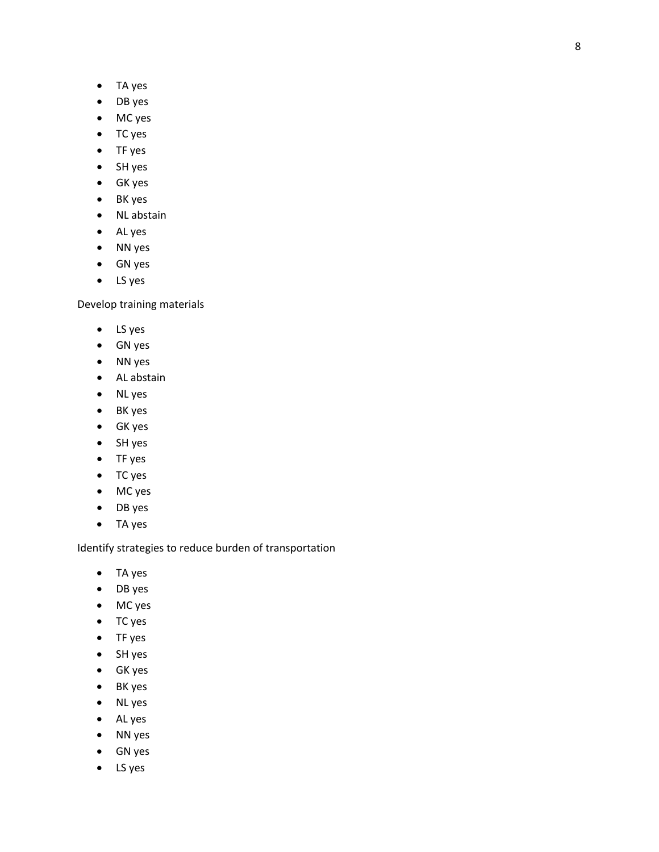- TA yes
- DB yes
- MC yes
- TC yes
- TF yes
- SH yes
- GK yes
- BK yes
- NL abstain
- AL yes
- NN yes
- GN yes
- LS yes

Develop training materials

- LS yes
- GN yes
- NN yes
- AL abstain
- NL yes
- BK yes
- GK yes
- SH yes
- TF yes
- TC yes
- MC yes
- DB yes
- TA yes

Identify strategies to reduce burden of transportation

- TA yes
- DB yes
- MC yes
- TC yes
- TF yes
- SH yes
- GK yes
- BK yes
- NL yes
- AL yes
- NN yes
- GN yes
- LS yes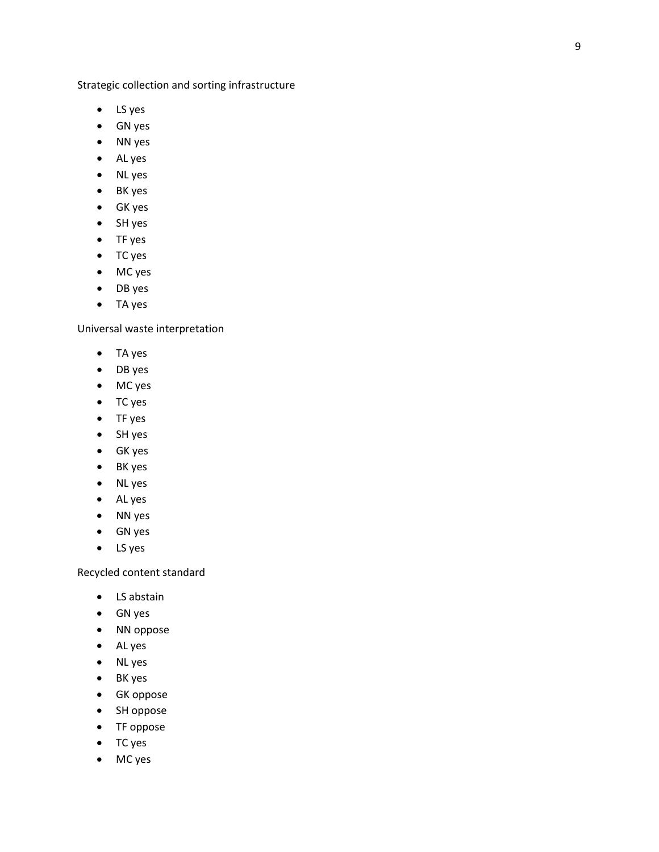Strategic collection and sorting infrastructure

- LS yes
- GN yes
- NN yes
- AL yes
- NL yes
- BK yes
- GK yes
- SH yes
- TF yes
- TC yes
- MC yes
- DB yes
- TA yes

Universal waste interpretation

- TA yes
- DB yes
- MC yes
- TC yes
- TF yes
- SH yes
- GK yes
- BK yes
- NL yes
- AL yes
- NN yes
- GN yes
- LS yes

Recycled content standard

- LS abstain
- GN yes
- NN oppose
- AL yes
- NL yes
- BK yes
- GK oppose
- SH oppose
- TF oppose
- TC yes
- MC yes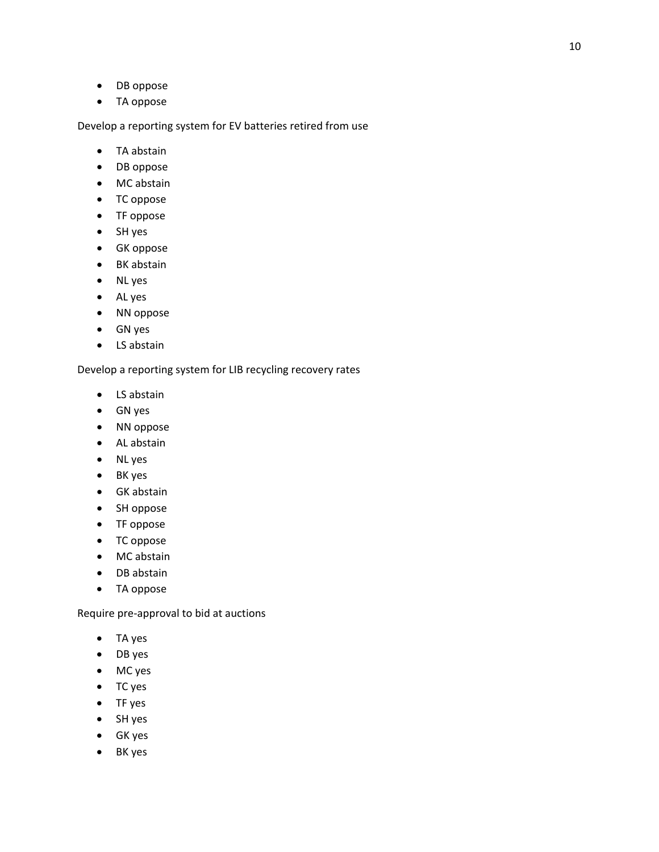- DB oppose
- TA oppose

Develop a reporting system for EV batteries retired from use

- TA abstain
- DB oppose
- MC abstain
- TC oppose
- TF oppose
- SH yes
- GK oppose
- BK abstain
- NL yes
- AL yes
- NN oppose
- GN yes
- LS abstain

Develop a reporting system for LIB recycling recovery rates

- LS abstain
- GN yes
- NN oppose
- AL abstain
- NL yes
- BK yes
- GK abstain
- SH oppose
- TF oppose
- TC oppose
- MC abstain
- DB abstain
- TA oppose

Require pre-approval to bid at auctions

- TA yes
- DB yes
- MC yes
- TC yes
- TF yes
- SH yes
- GK yes
- BK yes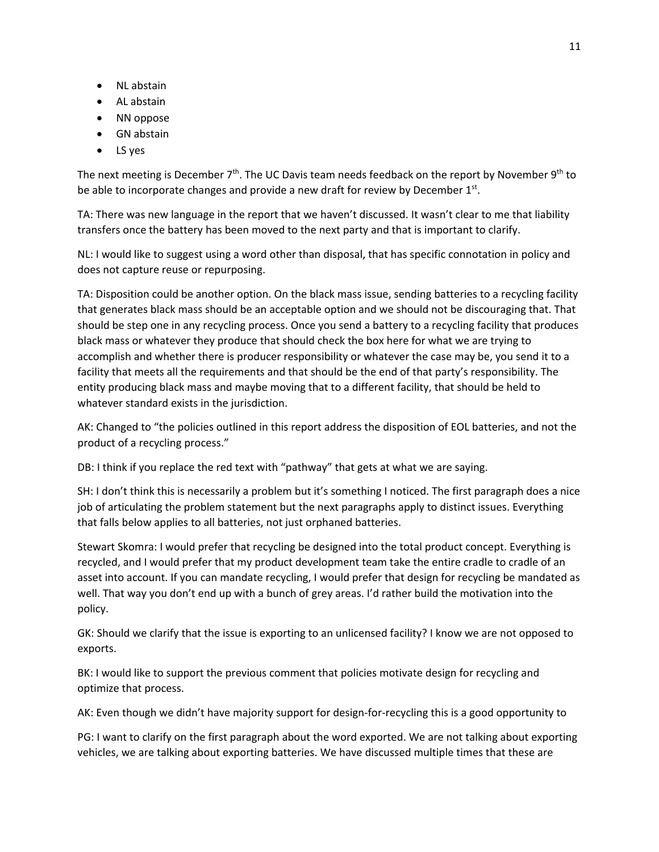- NL abstain
- AL abstain
- NN oppose
- GN abstain
- LS yes

The next meeting is December  $7<sup>th</sup>$ . The UC Davis team needs feedback on the report by November 9<sup>th</sup> to be able to incorporate changes and provide a new draft for review by December  $1<sup>st</sup>$ .

TA: There was new language in the report that we haven't discussed. It wasn't clear to me that liability transfers once the battery has been moved to the next party and that is important to clarify.

NL: I would like to suggest using a word other than disposal, that has specific connotation in policy and does not capture reuse or repurposing.

TA: Disposition could be another option. On the black mass issue, sending batteries to a recycling facility that generates black mass should be an acceptable option and we should not be discouraging that. That should be step one in any recycling process. Once you send a battery to a recycling facility that produces black mass or whatever they produce that should check the box here for what we are trying to accomplish and whether there is producer responsibility or whatever the case may be, you send it to a facility that meets all the requirements and that should be the end of that party's responsibility. The entity producing black mass and maybe moving that to a different facility, that should be held to whatever standard exists in the jurisdiction.

AK: Changed to "the policies outlined in this report address the disposition of EOL batteries, and not the product of a recycling process."

DB: I think if you replace the red text with "pathway" that gets at what we are saying.

SH: I don't think this is necessarily a problem but it's something I noticed. The first paragraph does a nice job of articulating the problem statement but the next paragraphs apply to distinct issues. Everything that falls below applies to all batteries, not just orphaned batteries.

Stewart Skomra: I would prefer that recycling be designed into the total product concept. Everything is recycled, and I would prefer that my product development team take the entire cradle to cradle of an asset into account. If you can mandate recycling, I would prefer that design for recycling be mandated as well. That way you don't end up with a bunch of grey areas. I'd rather build the motivation into the policy.

GK: Should we clarify that the issue is exporting to an unlicensed facility? I know we are not opposed to exports.

BK: I would like to support the previous comment that policies motivate design for recycling and optimize that process.

AK: Even though we didn't have majority support for design-for-recycling this is a good opportunity to

PG: I want to clarify on the first paragraph about the word exported. We are not talking about exporting vehicles, we are talking about exporting batteries. We have discussed multiple times that these are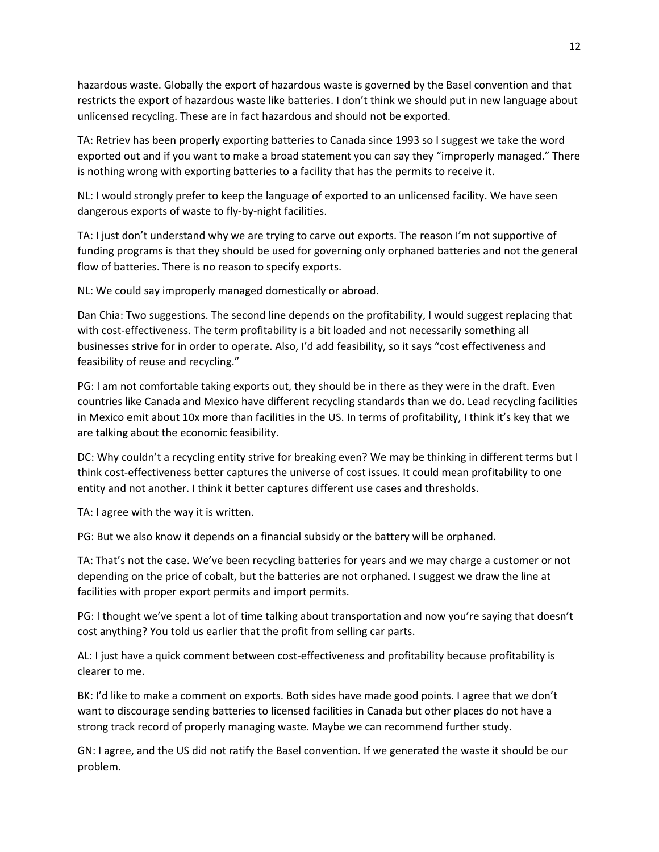hazardous waste. Globally the export of hazardous waste is governed by the Basel convention and that restricts the export of hazardous waste like batteries. I don't think we should put in new language about unlicensed recycling. These are in fact hazardous and should not be exported.

TA: Retriev has been properly exporting batteries to Canada since 1993 so I suggest we take the word exported out and if you want to make a broad statement you can say they "improperly managed." There is nothing wrong with exporting batteries to a facility that has the permits to receive it.

NL: I would strongly prefer to keep the language of exported to an unlicensed facility. We have seen dangerous exports of waste to fly-by-night facilities.

TA: I just don't understand why we are trying to carve out exports. The reason I'm not supportive of funding programs is that they should be used for governing only orphaned batteries and not the general flow of batteries. There is no reason to specify exports.

NL: We could say improperly managed domestically or abroad.

Dan Chia: Two suggestions. The second line depends on the profitability, I would suggest replacing that with cost-effectiveness. The term profitability is a bit loaded and not necessarily something all businesses strive for in order to operate. Also, I'd add feasibility, so it says "cost effectiveness and feasibility of reuse and recycling."

PG: I am not comfortable taking exports out, they should be in there as they were in the draft. Even countries like Canada and Mexico have different recycling standards than we do. Lead recycling facilities in Mexico emit about 10x more than facilities in the US. In terms of profitability, I think it's key that we are talking about the economic feasibility.

DC: Why couldn't a recycling entity strive for breaking even? We may be thinking in different terms but I think cost-effectiveness better captures the universe of cost issues. It could mean profitability to one entity and not another. I think it better captures different use cases and thresholds.

TA: I agree with the way it is written.

PG: But we also know it depends on a financial subsidy or the battery will be orphaned.

TA: That's not the case. We've been recycling batteries for years and we may charge a customer or not depending on the price of cobalt, but the batteries are not orphaned. I suggest we draw the line at facilities with proper export permits and import permits.

PG: I thought we've spent a lot of time talking about transportation and now you're saying that doesn't cost anything? You told us earlier that the profit from selling car parts.

AL: I just have a quick comment between cost-effectiveness and profitability because profitability is clearer to me.

BK: I'd like to make a comment on exports. Both sides have made good points. I agree that we don't want to discourage sending batteries to licensed facilities in Canada but other places do not have a strong track record of properly managing waste. Maybe we can recommend further study.

GN: I agree, and the US did not ratify the Basel convention. If we generated the waste it should be our problem.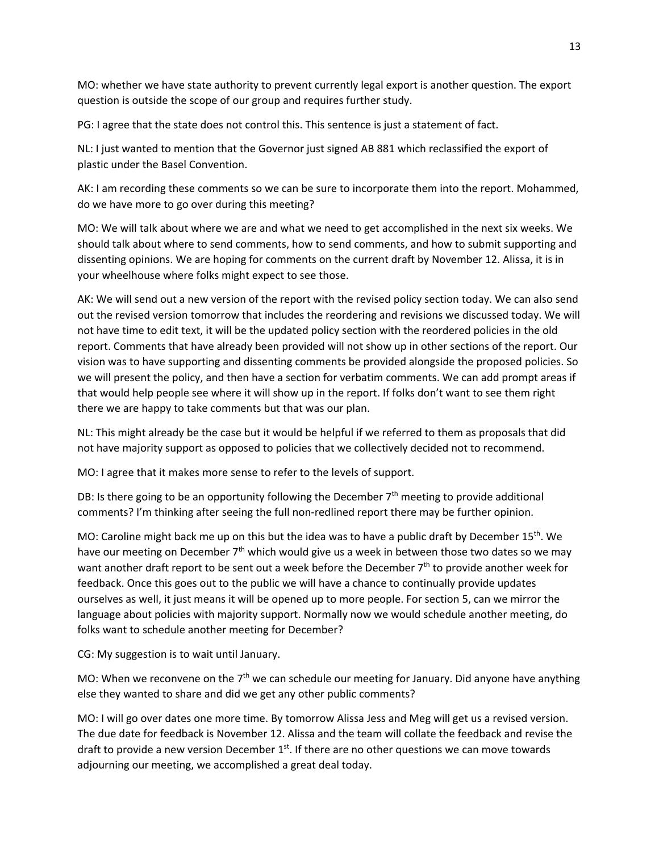MO: whether we have state authority to prevent currently legal export is another question. The export question is outside the scope of our group and requires further study.

PG: I agree that the state does not control this. This sentence is just a statement of fact.

NL: I just wanted to mention that the Governor just signed AB 881 which reclassified the export of plastic under the Basel Convention.

AK: I am recording these comments so we can be sure to incorporate them into the report. Mohammed, do we have more to go over during this meeting?

MO: We will talk about where we are and what we need to get accomplished in the next six weeks. We should talk about where to send comments, how to send comments, and how to submit supporting and dissenting opinions. We are hoping for comments on the current draft by November 12. Alissa, it is in your wheelhouse where folks might expect to see those.

AK: We will send out a new version of the report with the revised policy section today. We can also send out the revised version tomorrow that includes the reordering and revisions we discussed today. We will not have time to edit text, it will be the updated policy section with the reordered policies in the old report. Comments that have already been provided will not show up in other sections of the report. Our vision was to have supporting and dissenting comments be provided alongside the proposed policies. So we will present the policy, and then have a section for verbatim comments. We can add prompt areas if that would help people see where it will show up in the report. If folks don't want to see them right there we are happy to take comments but that was our plan.

NL: This might already be the case but it would be helpful if we referred to them as proposals that did not have majority support as opposed to policies that we collectively decided not to recommend.

MO: I agree that it makes more sense to refer to the levels of support.

DB: Is there going to be an opportunity following the December  $7<sup>th</sup>$  meeting to provide additional comments? I'm thinking after seeing the full non-redlined report there may be further opinion.

MO: Caroline might back me up on this but the idea was to have a public draft by December  $15<sup>th</sup>$ . We have our meeting on December  $7<sup>th</sup>$  which would give us a week in between those two dates so we may want another draft report to be sent out a week before the December 7<sup>th</sup> to provide another week for feedback. Once this goes out to the public we will have a chance to continually provide updates ourselves as well, it just means it will be opened up to more people. For section 5, can we mirror the language about policies with majority support. Normally now we would schedule another meeting, do folks want to schedule another meeting for December?

CG: My suggestion is to wait until January.

MO: When we reconvene on the  $7<sup>th</sup>$  we can schedule our meeting for January. Did anyone have anything else they wanted to share and did we get any other public comments?

MO: I will go over dates one more time. By tomorrow Alissa Jess and Meg will get us a revised version. The due date for feedback is November 12. Alissa and the team will collate the feedback and revise the draft to provide a new version December  $1<sup>st</sup>$ . If there are no other questions we can move towards adjourning our meeting, we accomplished a great deal today.